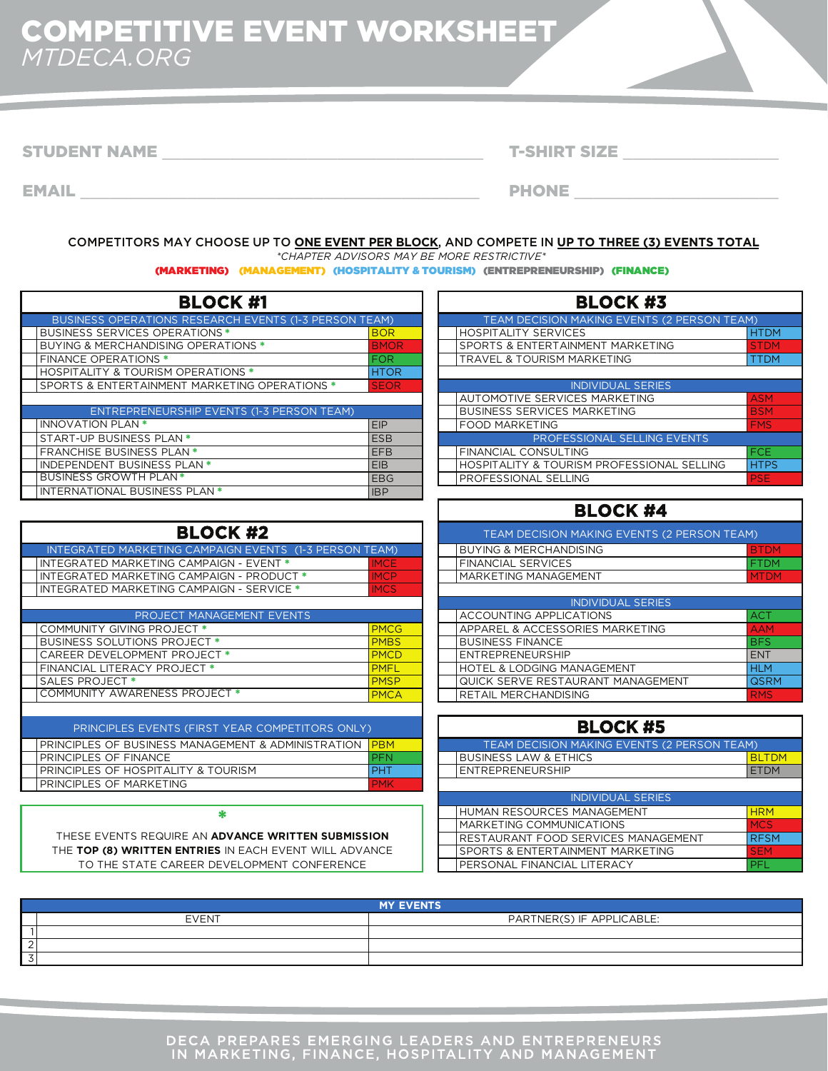## COMPETITIVE EVENT WORKSHEET *MTDECA.ORG*

STUDENT NAME \_\_\_\_\_\_\_\_\_\_\_\_\_\_\_\_\_\_\_\_\_\_\_\_\_\_\_\_\_\_\_\_\_ T-SHIRT SIZE \_\_\_\_\_\_\_\_\_\_\_\_\_\_\_\_

EMAIL EMAIL And the contract of the contract of the contract of the contract of the contract of the contract of the contract of the contract of the contract of the contract of the contract of the contract of the contract o

## COMPETITORS MAY CHOOSE UP TO **ONE EVENT PER BLOCK**, AND COMPETE IN **UP TO THREE (3) EVENTS TOTAL**

*\*CHAPTER ADVISORS MAY BE MORE RESTRICTIVE\**

(MARKETING) (MANAGEMENT) (HOSPITALITY & TOURISM) (ENTREPRENEURSHIP) (FINANCE)

| <b>BLOCK #1</b>                                              |             | <b>BLOCK #3</b>                                       |             |
|--------------------------------------------------------------|-------------|-------------------------------------------------------|-------------|
| <b>BUSINESS OPERATIONS RESEARCH EVENTS (1-3 PERSON TEAM)</b> |             | TEAM DECISION MAKING EVENTS (2 PERSON TEAM)           |             |
| <b>BUSINESS SERVICES OPERATIONS *</b>                        | <b>BOR</b>  | <b>HOSPITALITY SERVICES</b>                           | <b>HTDM</b> |
| <b>BUYING &amp; MERCHANDISING OPERATIONS *</b>               | <b>BMOR</b> | SPORTS & ENTERTAINMENT MARKETING                      | <b>STDM</b> |
| <b>FINANCE OPERATIONS *</b>                                  | <b>FOR</b>  | <b>TRAVEL &amp; TOURISM MARKETING</b>                 | <b>TTDM</b> |
| <b>HOSPITALITY &amp; TOURISM OPERATIONS *</b>                | <b>HTOR</b> |                                                       |             |
| SPORTS & ENTERTAINMENT MARKETING OPERATIONS *                | <b>SEOR</b> | <b>INDIVIDUAL SERIES</b>                              |             |
|                                                              |             | <b>AUTOMOTIVE SERVICES MARKETING</b>                  | <b>ASM</b>  |
| ENTREPRENEURSHIP EVENTS (1-3 PERSON TEAM)                    |             | <b>BUSINESS SERVICES MARKETING</b>                    | <b>BSM</b>  |
| <b>INNOVATION PLAN *</b>                                     | EIP         | <b>FOOD MARKETING</b>                                 | <b>FMS</b>  |
| START-UP BUSINESS PLAN *                                     | <b>ESB</b>  | PROFESSIONAL SELLING EVENTS                           |             |
| <b>FRANCHISE BUSINESS PLAN *</b>                             | <b>EFB</b>  | <b>FINANCIAL CONSULTING</b>                           | <b>IFCE</b> |
| <b>INDEPENDENT BUSINESS PLAN *</b>                           | <b>EIB</b>  | <b>HOSPITALITY &amp; TOURISM PROFESSIONAL SELLING</b> | <b>HTPS</b> |
| <b>BUSINESS GROWTH PLAN*</b>                                 | <b>EBG</b>  | <b>PROFESSIONAL SELLING</b>                           | <b>IPSE</b> |
| INTERNATIONAL BUSINESS PLAN *                                | <b>IBP</b>  |                                                       |             |

| <b>BLOCK #3</b> |                                             |             |  |  |  |  |
|-----------------|---------------------------------------------|-------------|--|--|--|--|
|                 | TEAM DECISION MAKING EVENTS (2 PERSON TEAM) |             |  |  |  |  |
|                 | <b>HOSPITALITY SERVICES</b>                 | <b>HTDM</b> |  |  |  |  |
|                 | SPORTS & ENTERTAINMENT MARKETING            | <b>STDM</b> |  |  |  |  |
|                 | <b>TRAVEL &amp; TOURISM MARKETING</b>       | TTDM        |  |  |  |  |
|                 |                                             |             |  |  |  |  |
|                 | <b>INDIVIDUAL SERIES</b>                    |             |  |  |  |  |
|                 | AUTOMOTIVE SERVICES MARKETING               | <b>ASM</b>  |  |  |  |  |
|                 | <b>BUSINESS SERVICES MARKETING</b>          | <b>BSM</b>  |  |  |  |  |
|                 | <b>FOOD MARKETING</b>                       | <b>FMS</b>  |  |  |  |  |
|                 | PROFESSIONAL SELLING EVENTS                 |             |  |  |  |  |
|                 | FINANCIAL CONSULTING                        | <b>FCE</b>  |  |  |  |  |
|                 | HOSPITALITY & TOURISM PROFESSIONAL SELLING  | <b>HTPS</b> |  |  |  |  |
|                 | PROFESSIONAL SELLING                        | <b>PSE</b>  |  |  |  |  |

| CK,<br><b>PLO.</b><br>. . | A |
|---------------------------|---|
|---------------------------|---|

| <b>BLOCK #2</b>                                        |             | TEAM DECISION MAKING EVENTS (2 PERSON TEAM) |             |
|--------------------------------------------------------|-------------|---------------------------------------------|-------------|
| INTEGRATED MARKETING CAMPAIGN EVENTS (1-3 PERSON TEAM) |             | <b>BUYING &amp; MERCHANDISING</b>           | <b>BTDM</b> |
| INTEGRATED MARKETING CAMPAIGN - EVENT *                | <b>IMCE</b> | <b>FINANCIAL SERVICES</b>                   | FTDM        |
| INTEGRATED MARKETING CAMPAIGN - PRODUCT *              | <b>IMCP</b> | MARKETING MANAGEMENT                        | <b>MTDM</b> |
| INTEGRATED MARKETING CAMPAIGN - SERVICE *              | <b>IMCS</b> |                                             |             |
|                                                        |             | <b>INDIVIDUAL SERIES</b>                    |             |
| PROJECT MANAGEMENT EVENTS                              |             | ACCOUNTING APPLICATIONS                     | <b>ACT</b>  |
| COMMUNITY GIVING PROJECT *                             | <b>PMCG</b> | APPAREL & ACCESSORIES MARKETING             | <b>AAM</b>  |
| BUSINESS SOLUTIONS PROJECT *                           | <b>PMBS</b> | <b>BUSINESS FINANCE</b>                     | <b>BFS</b>  |
| <b>CAREER DEVELOPMENT PROJECT *</b>                    | <b>PMCD</b> | <b>ENTREPRENEURSHIP</b>                     | <b>ENT</b>  |
| <b>FINANCIAL LITERACY PROJECT *</b>                    | <b>PMFL</b> | <b>HOTEL &amp; LODGING MANAGEMENT</b>       | <b>HLM</b>  |
| <b>SALES PROJECT *</b>                                 | <b>PMSP</b> | QUICK SERVE RESTAURANT MANAGEMENT           | <b>QSRM</b> |
| COMMUNITY AWARENESS PROJECT *                          | <b>PMCA</b> | <b>RETAIL MERCHANDISING</b>                 | <b>RMS</b>  |
|                                                        |             |                                             |             |

| COMMUNITY AWARENESS PROJECT *                          | <b>PMCA</b> | <b>RETAIL MERCHANDISING</b>                 | <b>RMS</b>   |
|--------------------------------------------------------|-------------|---------------------------------------------|--------------|
| PRINCIPLES EVENTS (FIRST YEAR COMPETITORS ONLY)        |             | <b>BLOCK #5</b>                             |              |
| PRINCIPLES OF BUSINESS MANAGEMENT & ADMINISTRATION     | <b>PBM</b>  | TEAM DECISION MAKING EVENTS (2 PERSON TEAM) |              |
| PRINCIPLES OF FINANCE                                  | <b>PFN</b>  | <b>BUSINESS LAW &amp; ETHICS</b>            | <b>BLTDM</b> |
| PRINCIPLES OF HOSPITALITY & TOURISM                    | <b>PHT</b>  | <b>ENTREPRENEURSHIP</b>                     | <b>ETDM</b>  |
| PRINCIPLES OF MARKETING                                | <b>PMK</b>  |                                             |              |
|                                                        |             | <b>INDIVIDUAL SERIES</b>                    |              |
|                                                        |             | HUMAN RESOURCES MANAGEMENT                  | <b>HRM</b>   |
|                                                        |             | MARKETING COMMUNICATIONS                    | <b>MCS</b>   |
| THESE EVENTS REQUIRE AN ADVANCE WRITTEN SUBMISSION     |             | <b>RESTAURANT FOOD SERVICES MANAGEMENT</b>  | <b>RFSM</b>  |
| THE TOP (8) WRITTEN ENTRIES IN EACH EVENT WILL ADVANCE |             | <b>SPORTS &amp; ENTERTAINMENT MARKETING</b> | <b>ISEM</b>  |
| TO THE STATE CAREER DEVELOPMENT CONFERENCE             |             | PERSONAL FINANCIAL LITERACY                 | <b>IPFL</b>  |
|                                                        |             |                                             |              |

| <b>MY EVENTS</b> |                           |  |  |  |
|------------------|---------------------------|--|--|--|
| <b>EVENT</b>     | PARTNER(S) IF APPLICABLE: |  |  |  |
|                  |                           |  |  |  |
|                  |                           |  |  |  |
|                  |                           |  |  |  |